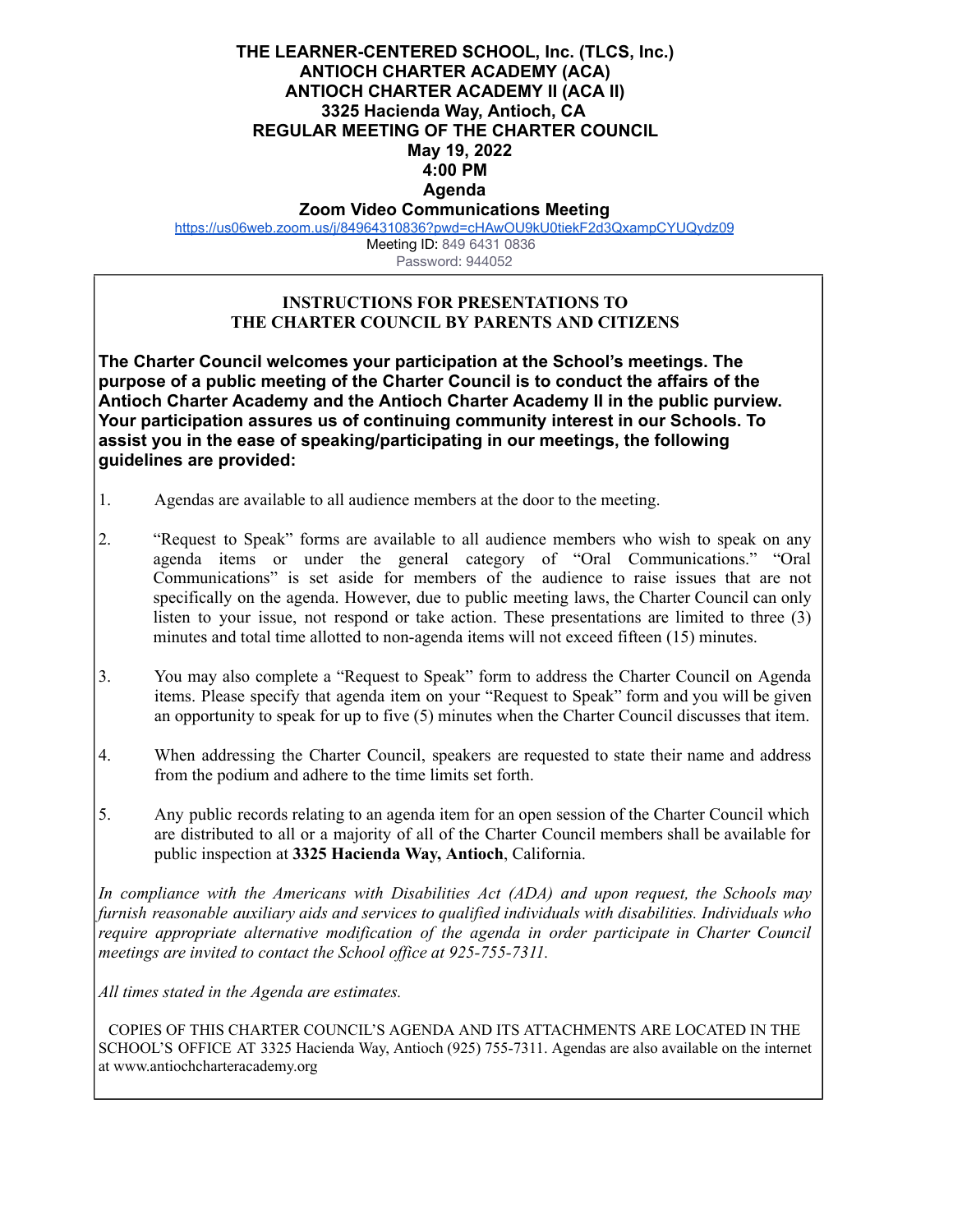## **THE LEARNER-CENTERED SCHOOL, Inc. (TLCS, Inc.) ANTIOCH CHARTER ACADEMY (ACA) ANTIOCH CHARTER ACADEMY II (ACA II) 3325 Hacienda Way, Antioch, CA REGULAR MEETING OF THE CHARTER COUNCIL May 19, 2022 4:00 PM Agenda**

## **Zoom Video Communications Meeting**

<https://us06web.zoom.us/j/84964310836?pwd=cHAwOU9kU0tiekF2d3QxampCYUQydz09>

Meeting ID: 849 6431 0836 Password: 944052

## **INSTRUCTIONS FOR PRESENTATIONS TO THE CHARTER COUNCIL BY PARENTS AND CITIZENS**

**The Charter Council welcomes your participation at the School's meetings. The purpose of a public meeting of the Charter Council is to conduct the affairs of the Antioch Charter Academy and the Antioch Charter Academy II in the public purview. Your participation assures us of continuing community interest in our Schools. To assist you in the ease of speaking/participating in our meetings, the following guidelines are provided:**

- 1. Agendas are available to all audience members at the door to the meeting.
- 2. "Request to Speak" forms are available to all audience members who wish to speak on any agenda items or under the general category of "Oral Communications." "Oral Communications" is set aside for members of the audience to raise issues that are not specifically on the agenda. However, due to public meeting laws, the Charter Council can only listen to your issue, not respond or take action. These presentations are limited to three (3) minutes and total time allotted to non-agenda items will not exceed fifteen (15) minutes.
- 3. You may also complete a "Request to Speak" form to address the Charter Council on Agenda items. Please specify that agenda item on your "Request to Speak" form and you will be given an opportunity to speak for up to five (5) minutes when the Charter Council discusses that item.
- 4. When addressing the Charter Council, speakers are requested to state their name and address from the podium and adhere to the time limits set forth.
- 5. Any public records relating to an agenda item for an open session of the Charter Council which are distributed to all or a majority of all of the Charter Council members shall be available for public inspection at **3325 Hacienda Way, Antioch**, California.

*In compliance with the Americans with Disabilities Act (ADA) and upon request, the Schools may furnish reasonable auxiliary aids and services to qualified individuals with disabilities. Individuals who require appropriate alternative modification of the agenda in order participate in Charter Council meetings are invited to contact the School of ice at 925-755-7311.*

*All times stated in the Agenda are estimates.*

COPIES OF THIS CHARTER COUNCIL'S AGENDA AND ITS ATTACHMENTS ARE LOCATED IN THE SCHOOL'S OFFICE AT 3325 Hacienda Way, Antioch (925) 755-7311. Agendas are also available on the internet at [www.antiochcharteracademy.org](http://www.antiochcharteracademy.org/)